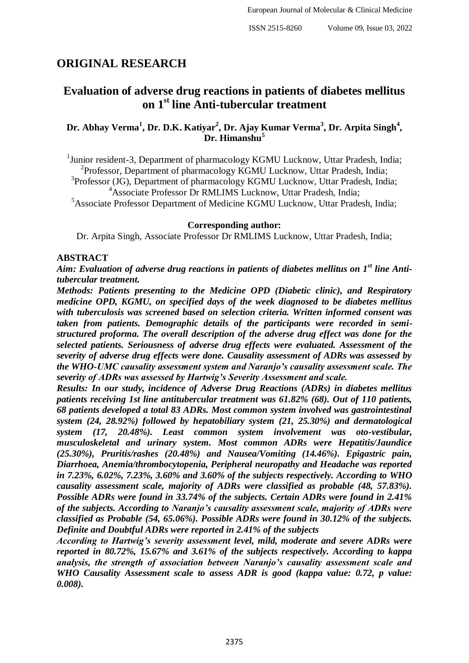# **ORIGINAL RESEARCH**

## **Evaluation of adverse drug reactions in patients of diabetes mellitus on 1st line Anti-tubercular treatment**

## **Dr. Abhay Verma<sup>1</sup> , Dr. D.K. Katiyar<sup>2</sup> , Dr. Ajay Kumar Verma<sup>3</sup> , Dr. Arpita Singh<sup>4</sup> , Dr. Himanshu<sup>5</sup>**

<sup>1</sup>Junior resident-3, Department of pharmacology KGMU Lucknow, Uttar Pradesh, India; <sup>2</sup>Professor, Department of pharmacology KGMU Lucknow, Uttar Pradesh, India;

<sup>3</sup>Professor (JG), Department of pharmacology KGMU Lucknow, Uttar Pradesh, India; <sup>4</sup>Associate Professor Dr RMLIMS Lucknow, Uttar Pradesh, India;

<sup>5</sup>Associate Professor Department of Medicine KGMU Lucknow, Uttar Pradesh, India;

#### **Corresponding author:**

Dr. Arpita Singh, Associate Professor Dr RMLIMS Lucknow, Uttar Pradesh, India;

#### **ABSTRACT**

*Aim: Evaluation of adverse drug reactions in patients of diabetes mellitus on 1st line Antitubercular treatment.*

*Methods: Patients presenting to the Medicine OPD (Diabetic clinic), and Respiratory medicine OPD, KGMU, on specified days of the week diagnosed to be diabetes mellitus with tuberculosis was screened based on selection criteria. Written informed consent was taken from patients. Demographic details of the participants were recorded in semistructured proforma. The overall description of the adverse drug effect was done for the selected patients. Seriousness of adverse drug effects were evaluated. Assessment of the severity of adverse drug effects were done. Causality assessment of ADRs was assessed by the WHO-UMC causality assessment system and Naranjo's causality assessment scale. The severity of ADRs was assessed by Hartwig's Severity Assessment and scale.*

*Results: In our study, incidence of Adverse Drug Reactions (ADRs) in diabetes mellitus patients receiving 1st line antitubercular treatment was 61.82% (68). Out of 110 patients, 68 patients developed a total 83 ADRs. Most common system involved was gastrointestinal system (24, 28.92%) followed by hepatobiliary system (21, 25.30%) and dermatological system (17, 20.48%). Least common system involvement was oto-vestibular, musculoskeletal and urinary system. Most common ADRs were Hepatitis/Jaundice (25.30%), Pruritis/rashes (20.48%) and Nausea/Vomiting (14.46%). Epigastric pain, Diarrhoea, Anemia/thrombocytopenia, Peripheral neuropathy and Headache was reported in 7.23%, 6.02%, 7.23%, 3.60% and 3.60% of the subjects respectively. According to WHO causality assessment scale, majority of ADRs were classified as probable (48, 57.83%). Possible ADRs were found in 33.74% of the subjects. Certain ADRs were found in 2.41% of the subjects. According to Naranjo's causality assessment scale, majority of ADRs were classified as Probable (54, 65.06%). Possible ADRs were found in 30.12% of the subjects. Definite and Doubtful ADRs were reported in 2.41% of the subjects* 

*According to Hartwig's severity assessment level, mild, moderate and severe ADRs were reported in 80.72%, 15.67% and 3.61% of the subjects respectively. According to kappa analysis, the strength of association between Naranjo's causality assessment scale and WHO Causality Assessment scale to assess ADR is good (kappa value: 0.72, p value: 0.008).*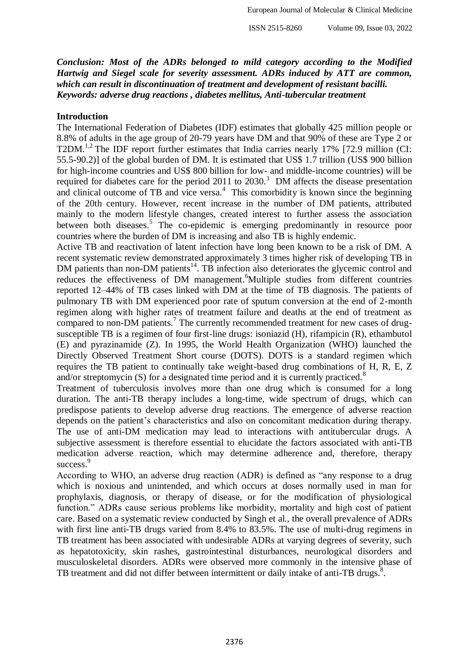*Conclusion: Most of the ADRs belonged to mild category according to the Modified Hartwig and Siegel scale for severity assessment. ADRs induced by ATT are common, which can result in discontinuation of treatment and development of resistant bacilli. Keywords: adverse drug reactions , diabetes mellitus, Anti-tubercular treatment*

#### **Introduction**

The International Federation of Diabetes (IDF) estimates that globally 425 million people or 8.8% of adults in the age group of 20-79 years have DM and that 90% of these are Type 2 or T2DM.<sup>1,2</sup> The IDF report further estimates that India carries nearly 17% [72.9 million (CI: 55.5-90.2)] of the global burden of DM. It is estimated that US\$ 1.7 trillion (US\$ 900 billion for high-income countries and US\$ 800 billion for low- and middle-income countries) will be required for diabetes care for the period 2011 to  $2030$ .<sup>3</sup> DM affects the disease presentation and clinical outcome of TB and vice versa.<sup>4</sup> This comorbidity is known since the beginning of the 20th century. However, recent increase in the number of DM patients, attributed mainly to the modern lifestyle changes, created interest to further assess the association between both diseases.<sup>5</sup> The co-epidemic is emerging predominantly in resource poor countries where the burden of DM is increasing and also TB is highly endemic.

Active TB and reactivation of latent infection have long been known to be a risk of DM. A recent systematic review demonstrated approximately 3 times higher risk of developing TB in DM patients than non-DM patients<sup>14</sup>. TB infection also deteriorates the glycemic control and reduces the effectiveness of DM management.<sup>6</sup>Multiple studies from different countries reported 12–44% of TB cases linked with DM at the time of TB diagnosis. The patients of pulmonary TB with DM experienced poor rate of sputum conversion at the end of 2-month regimen along with higher rates of treatment failure and deaths at the end of treatment as compared to non-DM patients.<sup>7</sup> The currently recommended treatment for new cases of drugsusceptible TB is a regimen of four first-line drugs: isoniazid (H), rifampicin (R), ethambutol (E) and pyrazinamide (Z). In 1995, the World Health Organization (WHO) launched the Directly Observed Treatment Short course (DOTS). DOTS is a standard regimen which requires the TB patient to continually take weight-based drug combinations of H, R, E, Z and/or streptomycin  $(S)$  for a designated time period and it is currently practiced.<sup>8</sup>

Treatment of tuberculosis involves more than one drug which is consumed for a long duration. The anti-TB therapy includes a long-time, wide spectrum of drugs, which can predispose patients to develop adverse drug reactions. The emergence of adverse reaction depends on the patient's characteristics and also on concomitant medication during therapy. The use of anti-DM medication may lead to interactions with antitubercular drugs. A subjective assessment is therefore essential to elucidate the factors associated with anti-TB medication adverse reaction, which may determine adherence and, therefore, therapy success.<sup>9</sup>

According to WHO, an adverse drug reaction (ADR) is defined as "any response to a drug which is noxious and unintended, and which occurs at doses normally used in man for prophylaxis, diagnosis, or therapy of disease, or for the modification of physiological function." ADRs cause serious problems like morbidity, mortality and high cost of patient care. Based on a systematic review conducted by Singh et al., the overall prevalence of ADRs with first line anti-TB drugs varied from 8.4% to 83.5%. The use of multi-drug regimens in TB treatment has been associated with undesirable ADRs at varying degrees of severity, such as hepatotoxicity, skin rashes, gastrointestinal disturbances, neurological disorders and musculoskeletal disorders. ADRs were observed more commonly in the intensive phase of TB treatment and did not differ between intermittent or daily intake of anti-TB drugs. $\delta$ .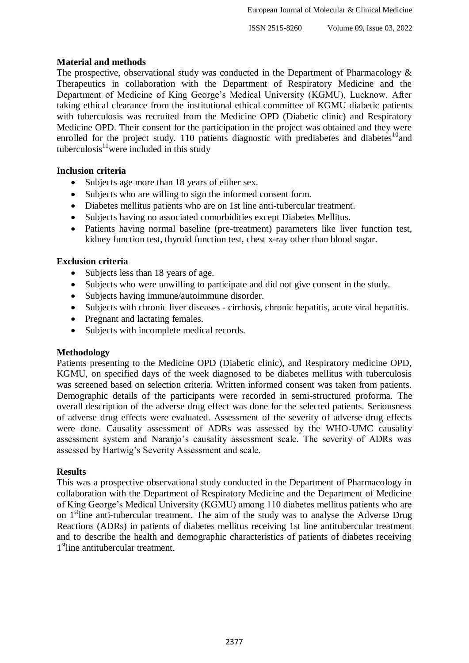## **Material and methods**

The prospective, observational study was conducted in the Department of Pharmacology  $\&$ Therapeutics in collaboration with the Department of Respiratory Medicine and the Department of Medicine of King George's Medical University (KGMU), Lucknow. After taking ethical clearance from the institutional ethical committee of KGMU diabetic patients with tuberculosis was recruited from the Medicine OPD (Diabetic clinic) and Respiratory Medicine OPD. Their consent for the participation in the project was obtained and they were enrolled for the project study. 110 patients diagnostic with prediabetes and diabetes<sup>10</sup>and tuberculosis $1/\sqrt{1}$  were included in this study

## **Inclusion criteria**

- Subjects age more than 18 years of either sex.
- Subjects who are willing to sign the informed consent form.
- Diabetes mellitus patients who are on 1st line anti-tubercular treatment.
- Subjects having no associated comorbidities except Diabetes Mellitus.
- Patients having normal baseline (pre-treatment) parameters like liver function test, kidney function test, thyroid function test, chest x-ray other than blood sugar.

## **Exclusion criteria**

- Subjects less than 18 years of age.
- Subjects who were unwilling to participate and did not give consent in the study.
- Subjects having immune/autoimmune disorder.
- Subjects with chronic liver diseases cirrhosis, chronic hepatitis, acute viral hepatitis.
- Pregnant and lactating females.
- Subjects with incomplete medical records.

#### **Methodology**

Patients presenting to the Medicine OPD (Diabetic clinic), and Respiratory medicine OPD, KGMU, on specified days of the week diagnosed to be diabetes mellitus with tuberculosis was screened based on selection criteria. Written informed consent was taken from patients. Demographic details of the participants were recorded in semi-structured proforma. The overall description of the adverse drug effect was done for the selected patients. Seriousness of adverse drug effects were evaluated. Assessment of the severity of adverse drug effects were done. Causality assessment of ADRs was assessed by the WHO-UMC causality assessment system and Naranjo's causality assessment scale. The severity of ADRs was assessed by Hartwig's Severity Assessment and scale.

#### **Results**

This was a prospective observational study conducted in the Department of Pharmacology in collaboration with the Department of Respiratory Medicine and the Department of Medicine of King George's Medical University (KGMU) among 110 diabetes mellitus patients who are on 1<sup>st</sup>line anti-tubercular treatment. The aim of the study was to analyse the Adverse Drug Reactions (ADRs) in patients of diabetes mellitus receiving 1st line antitubercular treatment and to describe the health and demographic characteristics of patients of diabetes receiving 1<sup>st</sup>line antitubercular treatment.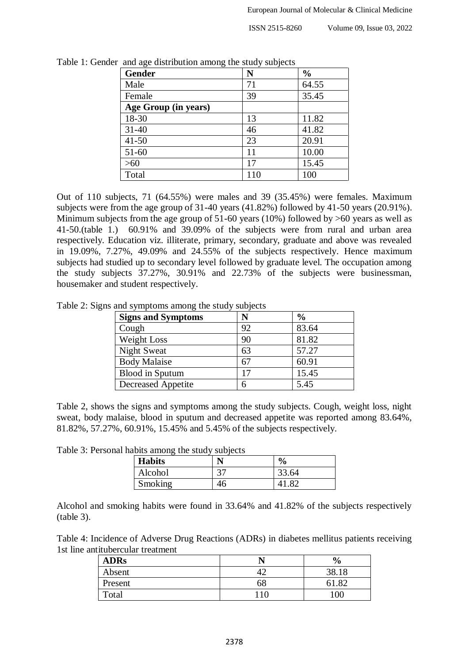| <b>Gender</b>        | N   | $\frac{0}{0}$ |
|----------------------|-----|---------------|
| Male                 | 71  | 64.55         |
| Female               | 39  | 35.45         |
| Age Group (in years) |     |               |
| 18-30                | 13  | 11.82         |
| $31 - 40$            | 46  | 41.82         |
| $41 - 50$            | 23  | 20.91         |
| $51-60$              |     | 10.00         |
| >60                  | 17  | 15.45         |
| Total                | 110 | 100           |

Table 1: Gender and age distribution among the study subjects

Out of 110 subjects, 71 (64.55%) were males and 39 (35.45%) were females. Maximum subjects were from the age group of 31-40 years (41.82%) followed by 41-50 years (20.91%). Minimum subjects from the age group of 51-60 years (10%) followed by  $>60$  years as well as 41-50.(table 1.) 60.91% and 39.09% of the subjects were from rural and urban area respectively. Education viz. illiterate, primary, secondary, graduate and above was revealed in 19.09%, 7.27%, 49.09% and 24.55% of the subjects respectively. Hence maximum subjects had studied up to secondary level followed by graduate level. The occupation among the study subjects 37.27%, 30.91% and 22.73% of the subjects were businessman, housemaker and student respectively.

Table 2: Signs and symptoms among the study subjects

| <b>Signs and Symptoms</b> |    | $\frac{0}{0}$ |
|---------------------------|----|---------------|
| Cough                     | 92 | 83.64         |
| Weight Loss               | 90 | 81.82         |
| <b>Night Sweat</b>        | 63 | 57.27         |
| <b>Body Malaise</b>       | 67 | 60.91         |
| <b>Blood</b> in Sputum    |    | 15.45         |
| <b>Decreased Appetite</b> | 6  | 5.45          |

Table 2, shows the signs and symptoms among the study subjects. Cough, weight loss, night sweat, body malaise, blood in sputum and decreased appetite was reported among 83.64%, 81.82%, 57.27%, 60.91%, 15.45% and 5.45% of the subjects respectively.

Table 3: Personal habits among the study subjects

| <b>Habits</b> |    | $\frac{6}{9}$ |
|---------------|----|---------------|
| Alcohol       |    | 33.64         |
| Smoking       | 46 | $.8^{\circ}$  |

Alcohol and smoking habits were found in 33.64% and 41.82% of the subjects respectively (table 3).

Table 4: Incidence of Adverse Drug Reactions (ADRs) in diabetes mellitus patients receiving 1st line antitubercular treatment

| <b>ADRs</b> |     | $\frac{6}{9}$ |
|-------------|-----|---------------|
| Absent      |     | 38.18         |
| Present     | 68  | $\circ$       |
| Total       | .10 | 100           |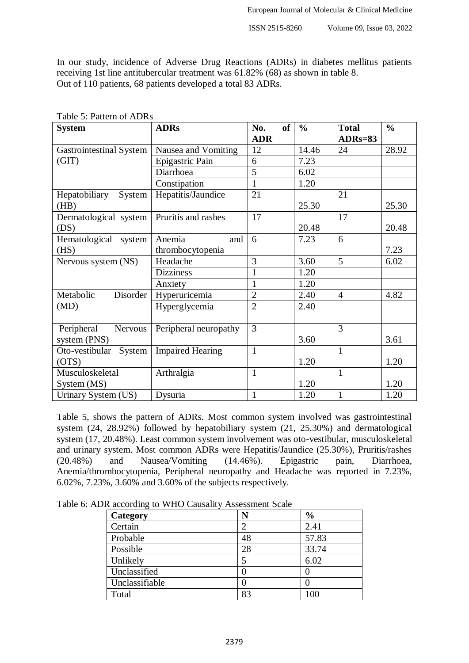In our study, incidence of Adverse Drug Reactions (ADRs) in diabetes mellitus patients receiving 1st line antitubercular treatment was 61.82% (68) as shown in table 8. Out of 110 patients, 68 patients developed a total 83 ADRs.

| <b>System</b>                  | <b>ADRs</b>             | <b>of</b><br>No. | $\frac{0}{0}$ | <b>Total</b>   | $\frac{0}{0}$ |
|--------------------------------|-------------------------|------------------|---------------|----------------|---------------|
|                                |                         | <b>ADR</b>       |               | $ADRs=83$      |               |
| <b>Gastrointestinal System</b> | Nausea and Vomiting     | 12               | 14.46         | 24             | 28.92         |
| (GIT)                          | Epigastric Pain         | 6                | 7.23          |                |               |
|                                | Diarrhoea               | 5                | 6.02          |                |               |
|                                | Constipation            | $\mathbf{1}$     | 1.20          |                |               |
| Hepatobiliary<br>System        | Hepatitis/Jaundice      | 21               |               | 21             |               |
| (HB)                           |                         |                  | 25.30         |                | 25.30         |
| Dermatological system          | Pruritis and rashes     | 17               |               | 17             |               |
| (DS)                           |                         |                  | 20.48         |                | 20.48         |
| Hematological<br>system        | Anemia<br>and           | 6                | 7.23          | 6              |               |
| (HS)                           | thrombocytopenia        |                  |               |                | 7.23          |
| Nervous system (NS)            | Headache                | 3                | 3.60          | 5              | 6.02          |
|                                | <b>Dizziness</b>        |                  | 1.20          |                |               |
|                                | Anxiety                 | 1                | 1.20          |                |               |
| Disorder<br>Metabolic          | Hyperuricemia           | $\overline{2}$   | 2.40          | $\overline{4}$ | 4.82          |
| (MD)                           | Hyperglycemia           | $\overline{2}$   | 2.40          |                |               |
|                                |                         |                  |               |                |               |
| Peripheral<br>Nervous          | Peripheral neuropathy   | 3                |               | 3              |               |
| system (PNS)                   |                         |                  | 3.60          |                | 3.61          |
| Oto-vestibular<br>System       | <b>Impaired Hearing</b> | $\mathbf{1}$     |               | $\mathbf{1}$   |               |
| (OTS)                          |                         |                  | 1.20          |                | 1.20          |
| Musculoskeletal                | Arthralgia              | $\mathbf{1}$     |               | $\mathbf{1}$   |               |
| System (MS)                    |                         |                  | 1.20          |                | 1.20          |
| Urinary System (US)            | Dysuria                 | $\mathbf{1}$     | 1.20          | $\mathbf{1}$   | 1.20          |

Table 5: Pattern of ADRs

Table 5, shows the pattern of ADRs. Most common system involved was gastrointestinal system (24, 28.92%) followed by hepatobiliary system (21, 25.30%) and dermatological system (17, 20.48%). Least common system involvement was oto-vestibular, musculoskeletal and urinary system. Most common ADRs were Hepatitis/Jaundice (25.30%), Pruritis/rashes (20.48%) and Nausea/Vomiting (14.46%). Epigastric pain, Diarrhoea, (20.48%) and Nausea/Vomiting (14.46%). Epigastric pain, Diarrhoea, Anemia/thrombocytopenia, Peripheral neuropathy and Headache was reported in 7.23%, 6.02%, 7.23%, 3.60% and 3.60% of the subjects respectively.

Table 6: ADR according to WHO Causality Assessment Scale

| Category       | N  | $\frac{6}{6}$ |
|----------------|----|---------------|
| Certain        | 2  | 2.41          |
| Probable       | 48 | 57.83         |
| Possible       | 28 | 33.74         |
| Unlikely       | 5  | 6.02          |
| Unclassified   |    |               |
| Unclassifiable |    |               |
| Total          | 83 | 100           |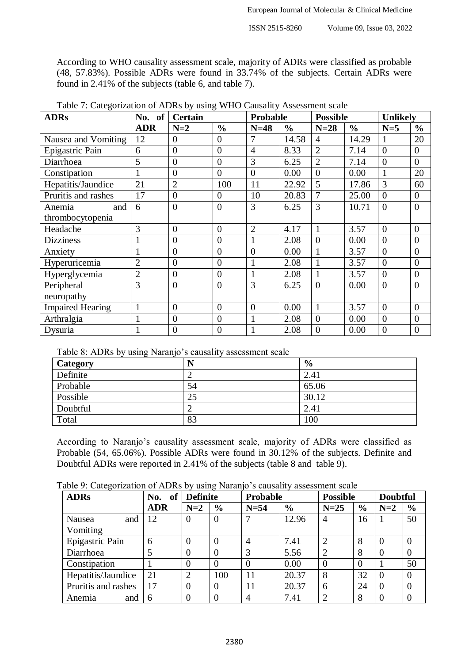According to WHO causality assessment scale, majority of ADRs were classified as probable (48, 57.83%). Possible ADRs were found in 33.74% of the subjects. Certain ADRs were found in 2.41% of the subjects (table 6, and table 7).

| <b>ADRs</b>             | No. of         | <b>Certain</b> |                | Probable       |               | <b>Possible</b> |               | <b>Unlikely</b>  |                  |
|-------------------------|----------------|----------------|----------------|----------------|---------------|-----------------|---------------|------------------|------------------|
|                         | <b>ADR</b>     | $N=2$          | $\frac{6}{6}$  | $N=48$         | $\frac{0}{0}$ | $N=28$          | $\frac{0}{0}$ | $N=5$            | $\frac{0}{0}$    |
| Nausea and Vomiting     | 12             | $\overline{0}$ | $\overline{0}$ | 7              | 14.58         | $\overline{4}$  | 14.29         |                  | 20               |
| Epigastric Pain         | 6              | $\overline{0}$ | $\overline{0}$ | $\overline{4}$ | 8.33          | $\overline{2}$  | 7.14          | $\boldsymbol{0}$ | $\overline{0}$   |
| Diarrhoea               | 5              | $\overline{0}$ | $\overline{0}$ | 3              | 6.25          | $\overline{2}$  | 7.14          | $\overline{0}$   | $\overline{0}$   |
| Constipation            |                | $\overline{0}$ | $\overline{0}$ | $\overline{0}$ | 0.00          | $\overline{0}$  | 0.00          | $\mathbf{1}$     | 20               |
| Hepatitis/Jaundice      | 21             | $\overline{2}$ | 100            | 11             | 22.92         | 5               | 17.86         | 3                | 60               |
| Pruritis and rashes     | 17             | $\overline{0}$ | $\overline{0}$ | 10             | 20.83         | 7               | 25.00         | $\overline{0}$   | $\boldsymbol{0}$ |
| and<br>Anemia           | 6              | $\overline{0}$ | $\overline{0}$ | 3              | 6.25          | 3               | 10.71         | $\overline{0}$   | $\boldsymbol{0}$ |
| thrombocytopenia        |                |                |                |                |               |                 |               |                  |                  |
| Headache                | 3              | $\overline{0}$ | $\overline{0}$ | $\overline{2}$ | 4.17          |                 | 3.57          | $\overline{0}$   | $\boldsymbol{0}$ |
| <b>Dizziness</b>        | $\mathbf{1}$   | $\overline{0}$ | $\overline{0}$ | $\mathbf{1}$   | 2.08          | $\overline{0}$  | 0.00          | $\boldsymbol{0}$ | $\boldsymbol{0}$ |
| Anxiety                 | $\mathbf{1}$   | $\overline{0}$ | $\overline{0}$ | $\overline{0}$ | 0.00          |                 | 3.57          | $\overline{0}$   | $\boldsymbol{0}$ |
| Hyperuricemia           | $\overline{2}$ | $\overline{0}$ | $\overline{0}$ |                | 2.08          |                 | 3.57          | $\boldsymbol{0}$ | $\boldsymbol{0}$ |
| Hyperglycemia           | $\overline{2}$ | $\overline{0}$ | $\overline{0}$ |                | 2.08          |                 | 3.57          | $\overline{0}$   | $\boldsymbol{0}$ |
| Peripheral              | 3              | $\theta$       | $\overline{0}$ | 3              | 6.25          | $\theta$        | 0.00          | $\overline{0}$   | $\overline{0}$   |
| neuropathy              |                |                |                |                |               |                 |               |                  |                  |
| <b>Impaired Hearing</b> | $\mathbf{1}$   | $\overline{0}$ | $\overline{0}$ | $\overline{0}$ | 0.00          | 1               | 3.57          | $\overline{0}$   | $\boldsymbol{0}$ |
| Arthralgia              |                | $\overline{0}$ | $\overline{0}$ |                | 2.08          | $\overline{0}$  | 0.00          | $\overline{0}$   | $\boldsymbol{0}$ |
| Dysuria                 |                | $\overline{0}$ | $\overline{0}$ |                | 2.08          | $\overline{0}$  | 0.00          | $\overline{0}$   | $\boldsymbol{0}$ |

Table 7: Categorization of ADRs by using WHO Causality Assessment scale

Table 8: ADRs by using Naranjo's causality assessment scale

| ັ        |    |               |
|----------|----|---------------|
| Category | N  | $\frac{6}{6}$ |
| Definite |    | 2.41          |
| Probable | 54 | 65.06         |
| Possible | 25 | 30.12         |
| Doubtful |    | 2.41          |
| Total    | 83 | 100           |

According to Naranjo's causality assessment scale, majority of ADRs were classified as Probable (54, 65.06%). Possible ADRs were found in 30.12% of the subjects. Definite and Doubtful ADRs were reported in 2.41% of the subjects (table 8 and table 9).

| <b>ADRs</b>         | No.<br>of  |                | <b>Definite</b> |                | <b>Probable</b> |                | <b>Possible</b> |          | <b>Doubtful</b> |
|---------------------|------------|----------------|-----------------|----------------|-----------------|----------------|-----------------|----------|-----------------|
|                     | <b>ADR</b> | $N=2$          | $\frac{6}{6}$   | $N=54$         | $\frac{6}{6}$   | $N=25$         | $\frac{6}{9}$   | $N=2$    | $\frac{0}{0}$   |
| Nausea<br>and       | 12         | $\overline{0}$ | $\theta$        |                | 12.96           | 4              | 16              |          | 50              |
| Vomiting            |            |                |                 |                |                 |                |                 |          |                 |
| Epigastric Pain     | 6          | $\theta$       |                 | $\overline{4}$ | 7.41            | $\overline{2}$ | 8               |          | $\theta$        |
| Diarrhoea           | 5          | $\theta$       |                 | 3              | 5.56            | $\overline{2}$ | 8               | $\theta$ | $\theta$        |
| Constipation        |            | $\overline{0}$ |                 | $\overline{0}$ | 0.00            | $\overline{0}$ | $\Omega$        |          | 50              |
| Hepatitis/Jaundice  | 21         | $\overline{2}$ | 100             | 11             | 20.37           | 8              | 32              | $\theta$ | $\theta$        |
| Pruritis and rashes | 17         | $\overline{0}$ | $\theta$        | 11             | 20.37           | 6              | 24              | $\Omega$ | $\theta$        |
| Anemia<br>and       | 6          | $\overline{0}$ |                 | 4              | 7.41            | $\overline{2}$ | 8               |          | $\Omega$        |

Table 9: Categorization of ADRs by using Naranjo's causality assessment scale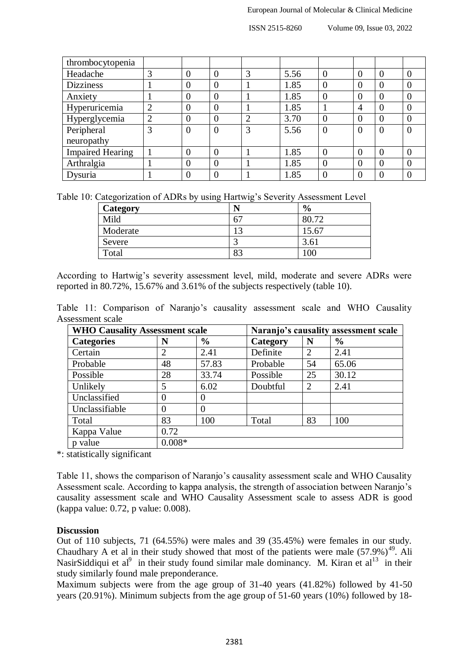ISSN 2515-8260 Volume 09, Issue 03, 2022

| thrombocytopenia        |         |          |                |                |      |                |          |                |   |
|-------------------------|---------|----------|----------------|----------------|------|----------------|----------|----------------|---|
| Headache                | ⌒<br>C. | 0        |                | 3              | 5.56 | 0              | 0        |                |   |
| <b>Dizziness</b>        |         | 0        | $\Omega$       |                | 1.85 | 0              | $\Omega$ | $\Omega$       | 0 |
| Anxiety                 |         | 0        | $\theta$       |                | 1.85 | $\overline{0}$ | $\Omega$ | $\theta$       |   |
| Hyperuricemia           | 2       | 0        | $\Omega$       |                | 1.85 |                | 4        | $\theta$       | 0 |
| Hyperglycemia           | ⌒       | 0        | $\Omega$       | $\overline{2}$ | 3.70 | $\overline{0}$ | $\Omega$ | $\theta$       |   |
| Peripheral              | 3       | 0        | $\overline{0}$ | 3              | 5.56 | $\overline{0}$ | $\Omega$ | $\overline{0}$ |   |
| neuropathy              |         |          |                |                |      |                |          |                |   |
| <b>Impaired Hearing</b> |         | $\theta$ | $\Omega$       |                | 1.85 | $\theta$       | 0        | $\Omega$       |   |
| Arthralgia              |         | 0        |                |                | 1.85 | 0              | $_{0}$   |                |   |
| Dysuria                 |         |          |                |                | 1.85 |                |          |                |   |

Table 10: Categorization of ADRs by using Hartwig's Severity Assessment Level

| <b>Category</b> | N          | $\frac{0}{0}$ |
|-----------------|------------|---------------|
| Mild            | 67         | 80.72         |
| Moderate        | $\sqrt{2}$ | 15.67         |
| Severe          |            | 3.61          |
| Total           | 83         | 100           |

According to Hartwig's severity assessment level, mild, moderate and severe ADRs were reported in 80.72%, 15.67% and 3.61% of the subjects respectively (table 10).

Table 11: Comparison of Naranjo's causality assessment scale and WHO Causality Assessment scale

| <b>WHO Causality Assessment scale</b> |                       |               | Naranjo's causality assessment scale |                |               |
|---------------------------------------|-----------------------|---------------|--------------------------------------|----------------|---------------|
| <b>Categories</b>                     | N                     | $\frac{6}{6}$ | Category                             | N              | $\frac{6}{9}$ |
| Certain                               | $\mathcal{D}_{\cdot}$ | 2.41          | Definite                             | $\overline{2}$ | 2.41          |
| Probable                              | 48                    | 57.83         | Probable                             | 54             | 65.06         |
| Possible                              | 28                    | 33.74         | Possible                             | 25             | 30.12         |
| Unlikely                              | 5                     | 6.02          | Doubtful                             | $\overline{2}$ | 2.41          |
| Unclassified                          | $\theta$              | $\Omega$      |                                      |                |               |
| Unclassifiable                        | $\Omega$              | $\Omega$      |                                      |                |               |
| Total                                 | 83                    | 100           | Total                                | 83             | 100           |
| Kappa Value                           | 0.72                  |               |                                      |                |               |
| p value                               | $0.008*$              |               |                                      |                |               |

\*: statistically significant

Table 11, shows the comparison of Naranjo's causality assessment scale and WHO Causality Assessment scale. According to kappa analysis, the strength of association between Naranjo's causality assessment scale and WHO Causality Assessment scale to assess ADR is good (kappa value: 0.72, p value: 0.008).

#### **Discussion**

Out of 110 subjects, 71 (64.55%) were males and 39 (35.45%) were females in our study. Chaudhary A et al in their study showed that most of the patients were male  $(57.9%)^{49}$ . Ali NasirSiddiqui et al<sup>9</sup> in their study found similar male dominancy. M. Kiran et al<sup>13</sup> in their study similarly found male preponderance.

Maximum subjects were from the age group of 31-40 years (41.82%) followed by 41-50 years (20.91%). Minimum subjects from the age group of 51-60 years (10%) followed by 18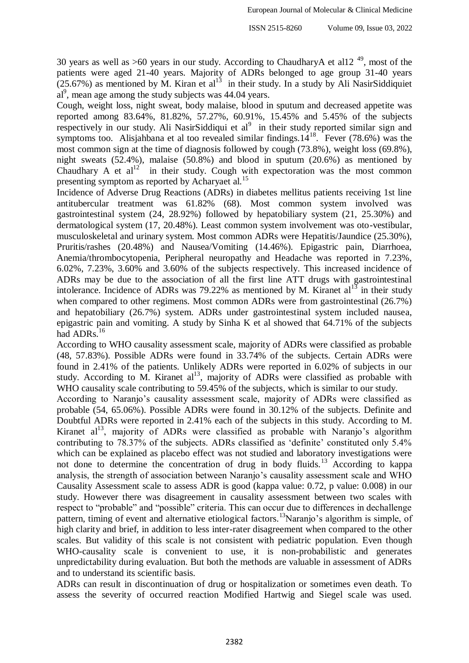30 years as well as  $>60$  years in our study. According to ChaudharyA et all  $2^{49}$ , most of the patients were aged 21-40 years. Majority of ADRs belonged to age group 31-40 years  $(25.67%)$  as mentioned by M. Kiran et al<sup>13</sup> in their study. In a study by Ali NasirSiddiquiet  $aI<sup>9</sup>$ , mean age among the study subjects was 44.04 years.

Cough, weight loss, night sweat, body malaise, blood in sputum and decreased appetite was reported among 83.64%, 81.82%, 57.27%, 60.91%, 15.45% and 5.45% of the subjects respectively in our study. Ali NasirSiddiqui et  $al^9$  in their study reported similar sign and symptoms too. Alisjahbana et al too revealed similar findings. $14^{18}$ . Fever (78.6%) was the most common sign at the time of diagnosis followed by cough (73.8%), weight loss (69.8%), night sweats (52.4%), malaise (50.8%) and blood in sputum (20.6%) as mentioned by Chaudhary A et  $al^{12}$  in their study. Cough with expectoration was the most common presenting symptom as reported by Acharyaet al.<sup>15</sup>

Incidence of Adverse Drug Reactions (ADRs) in diabetes mellitus patients receiving 1st line antitubercular treatment was 61.82% (68). Most common system involved was gastrointestinal system (24, 28.92%) followed by hepatobiliary system (21, 25.30%) and dermatological system (17, 20.48%). Least common system involvement was oto-vestibular, musculoskeletal and urinary system. Most common ADRs were Hepatitis/Jaundice (25.30%), Pruritis/rashes (20.48%) and Nausea/Vomiting (14.46%). Epigastric pain, Diarrhoea, Anemia/thrombocytopenia, Peripheral neuropathy and Headache was reported in 7.23%, 6.02%, 7.23%, 3.60% and 3.60% of the subjects respectively. This increased incidence of ADRs may be due to the association of all the first line ATT drugs with gastrointestinal intolerance. Incidence of ADRs was 79.22% as mentioned by M. Kiranet  $al<sup>13</sup>$  in their study when compared to other regimens. Most common ADRs were from gastrointestinal (26.7%) and hepatobiliary (26.7%) system. ADRs under gastrointestinal system included nausea, epigastric pain and vomiting. A study by Sinha K et al showed that 64.71% of the subjects had ADRs.<sup>16</sup>

According to WHO causality assessment scale, majority of ADRs were classified as probable (48, 57.83%). Possible ADRs were found in 33.74% of the subjects. Certain ADRs were found in 2.41% of the patients. Unlikely ADRs were reported in 6.02% of subjects in our study. According to M. Kiranet  $al<sup>13</sup>$ , majority of ADRs were classified as probable with WHO causality scale contributing to 59.45% of the subjects, which is similar to our study.

According to Naranjo's causality assessment scale, majority of ADRs were classified as probable (54, 65.06%). Possible ADRs were found in 30.12% of the subjects. Definite and Doubtful ADRs were reported in 2.41% each of the subjects in this study. According to M. Kiranet  $al<sup>13</sup>$ , majority of ADRs were classified as probable with Naranjo's algorithm contributing to 78.37% of the subjects. ADRs classified as 'definite' constituted only 5.4% which can be explained as placebo effect was not studied and laboratory investigations were not done to determine the concentration of drug in body fluids.<sup>13</sup> According to kappa analysis, the strength of association between Naranjo's causality assessment scale and WHO Causality Assessment scale to assess ADR is good (kappa value: 0.72, p value: 0.008) in our study. However there was disagreement in causality assessment between two scales with respect to "probable" and "possible" criteria. This can occur due to differences in dechallenge pattern, timing of event and alternative etiological factors.<sup>13</sup>Naranjo's algorithm is simple, of high clarity and brief, in addition to less inter-rater disagreement when compared to the other scales. But validity of this scale is not consistent with pediatric population. Even though WHO-causality scale is convenient to use, it is non-probabilistic and generates unpredictability during evaluation. But both the methods are valuable in assessment of ADRs and to understand its scientific basis.

ADRs can result in discontinuation of drug or hospitalization or sometimes even death. To assess the severity of occurred reaction Modified Hartwig and Siegel scale was used.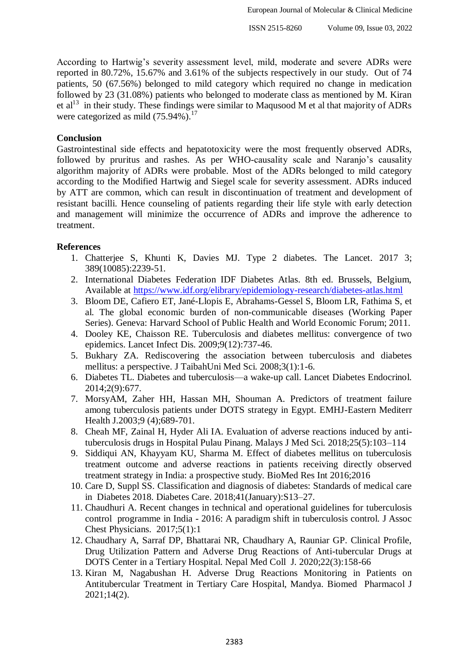According to Hartwig's severity assessment level, mild, moderate and severe ADRs were reported in 80.72%, 15.67% and 3.61% of the subjects respectively in our study. Out of 74 patients, 50 (67.56%) belonged to mild category which required no change in medication followed by 23 (31.08%) patients who belonged to moderate class as mentioned by M. Kiran et  $al<sup>13</sup>$  in their study. These findings were similar to Maqusood M et al that majority of ADRs were categorized as mild  $(75.94\%)$ .<sup>17</sup>

### **Conclusion**

Gastrointestinal side effects and hepatotoxicity were the most frequently observed ADRs, followed by pruritus and rashes. As per WHO-causality scale and Naranjo's causality algorithm majority of ADRs were probable. Most of the ADRs belonged to mild category according to the Modified Hartwig and Siegel scale for severity assessment. ADRs induced by ATT are common, which can result in discontinuation of treatment and development of resistant bacilli. Hence counseling of patients regarding their life style with early detection and management will minimize the occurrence of ADRs and improve the adherence to treatment.

## **References**

- 1. Chatterjee S, Khunti K, Davies MJ. Type 2 diabetes. The Lancet. 2017 3; 389(10085):2239-51.
- 2. International Diabetes Federation IDF Diabetes Atlas. 8th ed. Brussels, Belgium, Available at<https://www.idf.org/elibrary/epidemiology-research/diabetes-atlas.html>
- 3. Bloom DE, Cafiero ET, Jané-Llopis E, Abrahams-Gessel S, Bloom LR, Fathima S, et al. The global economic burden of non-communicable diseases (Working Paper Series). Geneva: Harvard School of Public Health and World Economic Forum; 2011.
- 4. Dooley KE, Chaisson RE. Tuberculosis and diabetes mellitus: convergence of two epidemics. Lancet Infect Dis. 2009;9(12):737-46.
- 5. Bukhary ZA. Rediscovering the association between tuberculosis and diabetes mellitus: a perspective. J TaibahUni Med Sci. 2008;3(1):1-6.
- 6. Diabetes TL. Diabetes and tuberculosis—a wake-up call. Lancet Diabetes Endocrinol. 2014;2(9):677.
- 7. MorsyAM, Zaher HH, Hassan MH, Shouman A. Predictors of treatment failure among tuberculosis patients under DOTS strategy in Egypt. EMHJ-Eastern Mediterr Health J.2003;9 (4);689-701.
- 8. Cheah MF, Zainal H, Hyder Ali IA. Evaluation of adverse reactions induced by antituberculosis drugs in Hospital Pulau Pinang. Malays J Med Sci. 2018;25(5):103–114
- 9. Siddiqui AN, Khayyam KU, Sharma M. Effect of diabetes mellitus on tuberculosis treatment outcome and adverse reactions in patients receiving directly observed treatment strategy in India: a prospective study. BioMed Res Int 2016;2016
- 10. Care D, Suppl SS. Classification and diagnosis of diabetes: Standards of medical care in Diabetes 2018. Diabetes Care. 2018;41(January):S13–27.
- 11. Chaudhuri A. Recent changes in technical and operational guidelines for tuberculosis control programme in India - 2016: A paradigm shift in tuberculosis control. J Assoc Chest Physicians. 2017;5(1):1
- 12. Chaudhary A, Sarraf DP, Bhattarai NR, Chaudhary A, Rauniar GP. Clinical Profile, Drug Utilization Pattern and Adverse Drug Reactions of Anti-tubercular Drugs at DOTS Center in a Tertiary Hospital. Nepal Med Coll J. 2020;22(3):158-66
- 13. Kiran M, Nagabushan H. Adverse Drug Reactions Monitoring in Patients on Antitubercular Treatment in Tertiary Care Hospital, Mandya. Biomed Pharmacol J 2021;14(2).